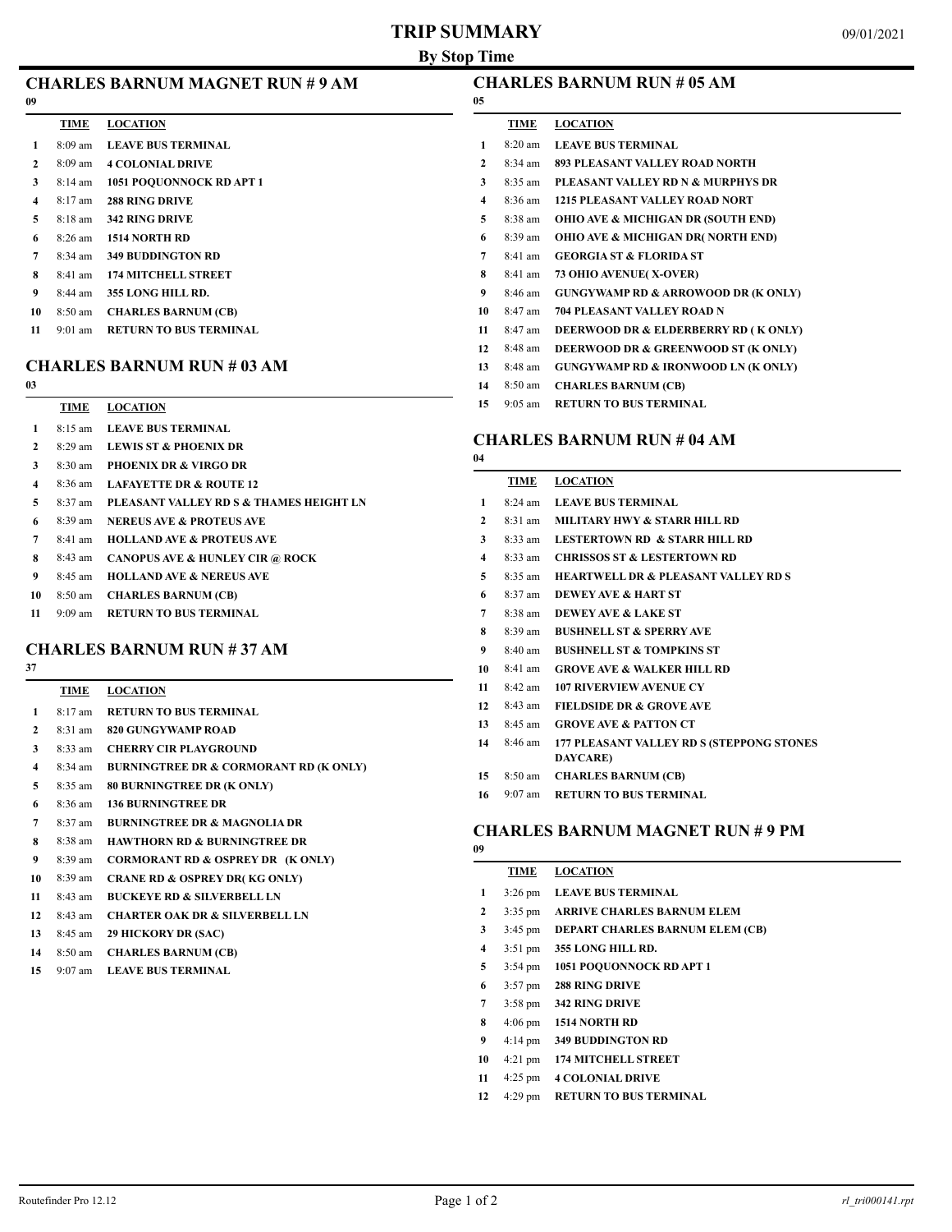## **TRIP SUMMARY**

# **CHARLES BARNUM RUN # 05 AM**

| 09 |                                  |
|----|----------------------------------|
|    | TIME LOCATION                    |
| 1. | 8:09 am LEAVE BUS TERMINAL       |
| 2  | 8:09 am 4 COLONIAL DRIVE         |
| 3  | 8:14 am 1051 POOUONNOCK RD APT 1 |
| 4  | $8.17 \text{ am}$ 288 RING DRIVE |
| 5  | 8:18 am 342 RING DRIVE           |

8:26 am **1514 NORTH RD**

- 8:34 am **349 BUDDINGTON RD**
- 8:41 am **174 MITCHELL STREET**
- 8:44 am **355 LONG HILL RD.**
- 8:50 am **CHARLES BARNUM (CB)**
- 9:01 am **RETURN TO BUS TERMINAL**

#### **CHARLES BARNUM RUN # 03 AM**

| v                       |                   |                                            |
|-------------------------|-------------------|--------------------------------------------|
|                         | <b>TIME</b>       | <b>LOCATION</b>                            |
| 1                       | $8:15 \text{ am}$ | <b>LEAVE BUS TERMINAL</b>                  |
| 2                       | $8:29$ am         | <b>LEWIS ST &amp; PHOENIX DR</b>           |
| 3                       | $8:30 \text{ am}$ | <b>PHOENIX DR &amp; VIRGO DR</b>           |
| $\overline{\mathbf{4}}$ | $8:36$ am         | <b>LAFAYETTE DR &amp; ROUTE 12</b>         |
| 5                       | $8:37$ am         | PLEASANT VALLEY RD S & THAMES HEIGHT LN    |
| 6                       | $8:39 \text{ am}$ | <b>NERELIS AVE &amp; PROTELIS AVE</b>      |
| 7                       | $8:41$ am         | <b>HOLLAND AVE &amp; PROTEUS AVE</b>       |
| 8                       | $8:43$ am         | <b>CANOPUS AVE &amp; HUNLEY CIR @ ROCK</b> |
| 9                       | $8:45$ am         | <b>HOLLAND AVE &amp; NEREUS AVE</b>        |
| 10                      | $8:50 \text{ am}$ | <b>CHARLES BARNUM (CB)</b>                 |
| 11                      | $9.09 \text{ am}$ | <b>RETURN TO BUS TERMINAL</b>              |
|                         |                   |                                            |

# **CHARLES BARNUM RUN # 37 AM**

| ï<br>۰, |  |
|---------|--|
|         |  |

|              | TIME      | <b>LOCATION</b>                              |
|--------------|-----------|----------------------------------------------|
| 1            | $8:17$ am | <b>RETURN TO BUS TERMINAL</b>                |
| $\mathbf{2}$ | $8:31$ am | 820 GUNGYWAMP ROAD                           |
| 3            | 8:33 am   | <b>CHERRY CIR PLAYGROUND</b>                 |
| 4            | 8:34 am   | <b>BURNINGTREE DR &amp; CORMORANT RD (K)</b> |
| 5            | $8:35$ am | <b>80 BURNINGTREE DR (K ONLY)</b>            |
| 6            | $8:36$ am | <b>136 BURNINGTREE DR</b>                    |
| 7            | 8:37 am   | <b>BURNINGTREE DR &amp; MAGNOLIA DR</b>      |
| 8            | $8:38$ am | <b>HAWTHORN RD &amp; BURNINGTREE DR</b>      |
| 9            | 8:39 am   | <b>CORMORANT RD &amp; OSPREY DR (K ONLY)</b> |
| 10           | 8:39 am   | <b>CRANE RD &amp; OSPREY DR(KG ONLY)</b>     |
| 11           | $8:43$ am | <b>BUCKEYE RD &amp; SILVERBELL LN</b>        |
| 12           | 8:43 am   | <b>CHARTER OAK DR &amp; SILVERBELL LN</b>    |
| 13           | $8:45$ am | <b>29 HICKORY DR (SAC)</b>                   |
| 14           | 8:50 am   | <b>CHARLES BARNUM (CB)</b>                   |
|              |           |                                              |

 $($  **ONLY** $)$ 

9:07 am **LEAVE BUS TERMINAL**

| 05           |                   |                                                |
|--------------|-------------------|------------------------------------------------|
|              | TIME              | <b>LOCATION</b>                                |
| 1            | $8:20$ am         | <b>LEAVE BUS TERMINAL</b>                      |
| $\mathbf{2}$ | $8:34 \text{ am}$ | 893 PLEASANT VALLEY ROAD NORTH                 |
| 3            | 8:35 am           | PLEASANT VALLEY RD N & MURPHYS DR              |
| 4            | $8:36$ am         | <b>1215 PLEASANT VALLEY ROAD NORT</b>          |
| 5            | 8:38 am           | <b>OHIO AVE &amp; MICHIGAN DR (SOUTH END)</b>  |
| 6            | 8:39 am           | <b>OHIO AVE &amp; MICHIGAN DR( NORTH END)</b>  |
| 7            | 8:41 am           | <b>GEORGIA ST &amp; FLORIDA ST</b>             |
| 8            | $8:41$ am         | <b>73 OHIO AVENUE(X-OVER)</b>                  |
| 9            | $8:46 \text{ am}$ | <b>GUNGYWAMP RD &amp; ARROWOOD DR (K ONLY)</b> |
| 10           | 8:47 am           | <b>704 PLEASANT VALLEY ROAD N</b>              |
| 11           | $8:47$ am         | DEERWOOD DR & ELDERBERRY RD (K ONLY)           |
| 12           | 8:48 am           | DEERWOOD DR & GREENWOOD ST (K ONLY)            |
| 13           | 8:48 am           | <b>GUNGYWAMP RD &amp; IRONWOOD LN (K ONLY)</b> |
| 14           | $8:50$ am         | <b>CHARLES BARNUM (CB)</b>                     |
|              |                   |                                                |

9:05 am **RETURN TO BUS TERMINAL**

### **CHARLES BARNUM RUN # 04 AM**

| 04           |                   |                                                |
|--------------|-------------------|------------------------------------------------|
|              | TIME              | <b>LOCATION</b>                                |
| 1            | $8:24$ am         | <b>LEAVE BUS TERMINAL</b>                      |
| $\mathbf{2}$ | $8:31$ am         | MILITARY HWY & STARR HILL RD                   |
| 3            | $8:33$ am         | <b>LESTERTOWN RD &amp; STARR HILL RD</b>       |
| 4            | $8:33$ am         | <b>CHRISSOS ST &amp; LESTERTOWN RD</b>         |
| 5            | $8:35$ am         | <b>HEARTWELL DR &amp; PLEASANT VALLEY RD S</b> |
| 6            | $8:37$ am         | <b>DEWEY AVE &amp; HART ST</b>                 |
| 7            | $8:38$ am         | <b>DEWEY AVE &amp; LAKE ST</b>                 |
| 8            | $8:39 \text{ am}$ | <b>BUSHNELL ST &amp; SPERRY AVE</b>            |
| 9            | $8:40 \text{ am}$ | <b>BUSHNELL ST &amp; TOMPKINS ST</b>           |
| 10           | $8:41$ am         | <b>GROVE AVE &amp; WALKER HILL RD</b>          |
| 11           | $8:42$ am         | <b>107 RIVERVIEW AVENUE CY</b>                 |
| 12           | $8:43$ am         | <b>FIELDSIDE DR &amp; GROVE AVE</b>            |
| 13           | $8:45$ am         | <b>GROVE AVE &amp; PATTON CT</b>               |
| 14           | $8:46$ am         | 177 PLEASANT VALLEY RD S (STEPPONG STONES      |
|              |                   | DAYCARE)                                       |
| 15           | $8:50$ am         | <b>CHARLES BARNUM (CB)</b>                     |
| 16           | $9:07$ am         | <b>RETURN TO BUS TERMINAL</b>                  |

#### **CHARLES BARNUM MAGNET RUN # 9 PM**

|    | TIME              | <b>LOCATION</b>                        |
|----|-------------------|----------------------------------------|
| 1  | $3:26$ pm         | <b>LEAVE BUS TERMINAL</b>              |
| 2  | $3:35$ pm         | <b>ARRIVE CHARLES BARNUM ELEM</b>      |
| 3  | $3:45 \text{ pm}$ | <b>DEPART CHARLES BARNUM ELEM (CB)</b> |
| 4  | $3:51$ pm         | 355 LONG HILL RD.                      |
| 5  | $3:54 \text{ pm}$ | 1051 POQUONNOCK RD APT 1               |
| 6  | $3:57 \text{ pm}$ | <b>288 RING DRIVE</b>                  |
| 7  | $3:58 \text{ pm}$ | <b>342 RING DRIVE</b>                  |
| 8  | $4:06 \text{ pm}$ | <b>1514 NORTH RD</b>                   |
| 9  | $4:14 \text{ pm}$ | <b>349 BUDDINGTON RD</b>               |
| 10 | $4:21$ pm         | <b>174 MITCHELL STREET</b>             |
| 11 | $4:25$ pm         | <b>4 COLONIAL DRIVE</b>                |
|    |                   |                                        |

4:29 pm **RETURN TO BUS TERMINAL**